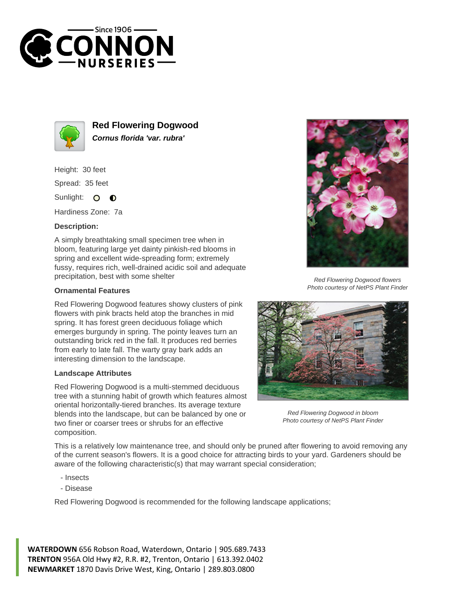



**Red Flowering Dogwood Cornus florida 'var. rubra'**

Height: 30 feet Spread: 35 feet

Sunlight: O  $\bullet$ 

Hardiness Zone: 7a

## **Description:**

A simply breathtaking small specimen tree when in bloom, featuring large yet dainty pinkish-red blooms in spring and excellent wide-spreading form; extremely fussy, requires rich, well-drained acidic soil and adequate precipitation, best with some shelter

## **Ornamental Features**

Red Flowering Dogwood features showy clusters of pink flowers with pink bracts held atop the branches in mid spring. It has forest green deciduous foliage which emerges burgundy in spring. The pointy leaves turn an outstanding brick red in the fall. It produces red berries from early to late fall. The warty gray bark adds an interesting dimension to the landscape.

## **Landscape Attributes**

Red Flowering Dogwood is a multi-stemmed deciduous tree with a stunning habit of growth which features almost oriental horizontally-tiered branches. Its average texture blends into the landscape, but can be balanced by one or two finer or coarser trees or shrubs for an effective composition.



Red Flowering Dogwood flowers Photo courtesy of NetPS Plant Finder



Red Flowering Dogwood in bloom Photo courtesy of NetPS Plant Finder

This is a relatively low maintenance tree, and should only be pruned after flowering to avoid removing any of the current season's flowers. It is a good choice for attracting birds to your yard. Gardeners should be aware of the following characteristic(s) that may warrant special consideration;

- Insects
- Disease

Red Flowering Dogwood is recommended for the following landscape applications;

**WATERDOWN** 656 Robson Road, Waterdown, Ontario | 905.689.7433 **TRENTON** 956A Old Hwy #2, R.R. #2, Trenton, Ontario | 613.392.0402 **NEWMARKET** 1870 Davis Drive West, King, Ontario | 289.803.0800